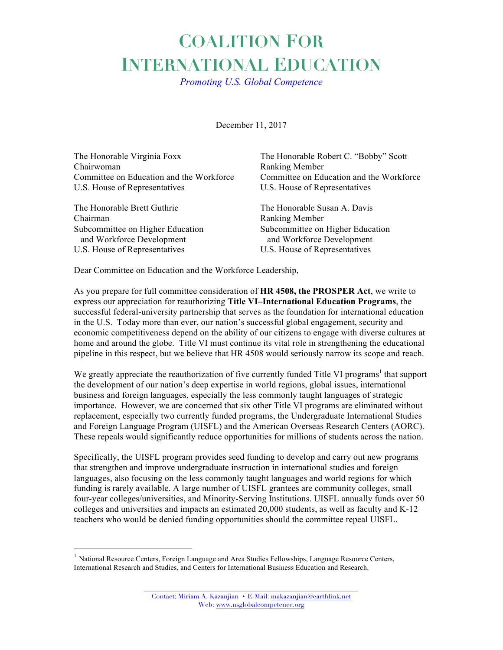## **COALITION FOR INTERNATIONAL EDUCATION**

*Promoting U.S. Global Competence*

December 11, 2017

| The Honorable Virginia Foxx              | The Honorable Robert C. "Bobby" Scott    |
|------------------------------------------|------------------------------------------|
| Chairwoman                               | Ranking Member                           |
| Committee on Education and the Workforce | Committee on Education and the Workforce |
| U.S. House of Representatives            | U.S. House of Representatives            |
| The Honorable Brett Guthrie              | The Honorable Susan A. Davis             |
| Chairman                                 | Ranking Member                           |
| Subcommittee on Higher Education         | Subcommittee on Higher Education         |
| and Workforce Development                | and Workforce Development                |
| U.S. House of Representatives            | U.S. House of Representatives            |

Dear Committee on Education and the Workforce Leadership,

As you prepare for full committee consideration of **HR 4508, the PROSPER Act**, we write to express our appreciation for reauthorizing **Title VI–International Education Programs**, the successful federal-university partnership that serves as the foundation for international education in the U.S. Today more than ever, our nation's successful global engagement, security and economic competitiveness depend on the ability of our citizens to engage with diverse cultures at home and around the globe. Title VI must continue its vital role in strengthening the educational pipeline in this respect, but we believe that HR 4508 would seriously narrow its scope and reach.

We greatly appreciate the reauthorization of five currently funded Title VI programs<sup>1</sup> that support the development of our nation's deep expertise in world regions, global issues, international business and foreign languages, especially the less commonly taught languages of strategic importance. However, we are concerned that six other Title VI programs are eliminated without replacement, especially two currently funded programs, the Undergraduate International Studies and Foreign Language Program (UISFL) and the American Overseas Research Centers (AORC). These repeals would significantly reduce opportunities for millions of students across the nation.

Specifically, the UISFL program provides seed funding to develop and carry out new programs that strengthen and improve undergraduate instruction in international studies and foreign languages, also focusing on the less commonly taught languages and world regions for which funding is rarely available. A large number of UISFL grantees are community colleges, small four-year colleges/universities, and Minority-Serving Institutions. UISFL annually funds over 50 colleges and universities and impacts an estimated 20,000 students, as well as faculty and K-12 teachers who would be denied funding opportunities should the committee repeal UISFL.

<sup>&</sup>lt;sup>1</sup> National Resource Centers, Foreign Language and Area Studies Fellowships, Language Resource Centers, International Research and Studies, and Centers for International Business Education and Research.

Contact: Miriam A. Kazanjian • E-Mail: makazanjian@earthlink.net Web: www.usglobalcompetence.org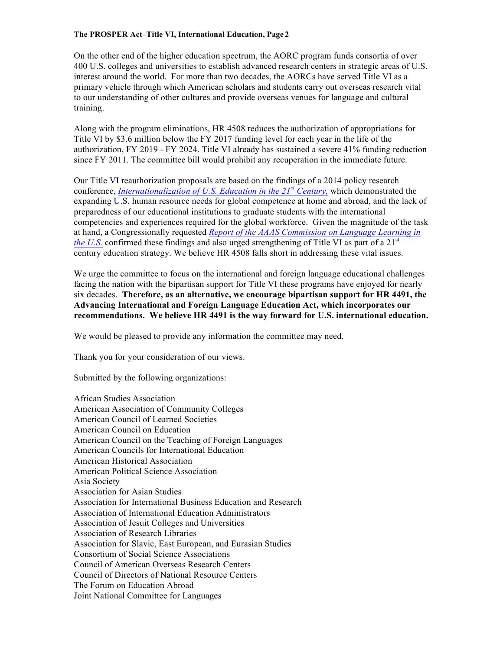## **The PROSPER Act–Title VI, International Education, Page 2**

On the other end of the higher education spectrum, the AORC program funds consortia of over 400 U.S. colleges and universities to establish advanced research centers in strategic areas of U.S. interest around the world. For more than two decades, the AORCs have served Title VI as a primary vehicle through which American scholars and students carry out overseas research vital to our understanding of other cultures and provide overseas venues for language and cultural training.

Along with the program eliminations, HR 4508 reduces the authorization of appropriations for Title VI by \$3.6 million below the FY 2017 funding level for each year in the life of the authorization, FY 2019 - FY 2024. Title VI already has sustained a severe 41% funding reduction since FY 2011. The committee bill would prohibit any recuperation in the immediate future.

Our Title VI reauthorization proposals are based on the findings of a 2014 policy research conference, *Internationalization of U.S. Education in the 21st Century,* which demonstrated the expanding U.S. human resource needs for global competence at home and abroad, and the lack of preparedness of our educational institutions to graduate students with the international competencies and experiences required for the global workforce. Given the magnitude of the task at hand, a Congressionally requested *Report of the AAAS Commission on Language Learning in the U.S.* confirmed these findings and also urged strengthening of Title VI as part of a 21<sup>st</sup> century education strategy. We believe HR 4508 falls short in addressing these vital issues.

We urge the committee to focus on the international and foreign language educational challenges facing the nation with the bipartisan support for Title VI these programs have enjoyed for nearly six decades. **Therefore, as an alternative, we encourage bipartisan support for HR 4491, the Advancing International and Foreign Language Education Act, which incorporates our recommendations. We believe HR 4491 is the way forward for U.S. international education.**

We would be pleased to provide any information the committee may need.

Thank you for your consideration of our views.

Submitted by the following organizations:

African Studies Association American Association of Community Colleges American Council of Learned Societies American Council on Education American Council on the Teaching of Foreign Languages American Councils for International Education American Historical Association American Political Science Association Asia Society Association for Asian Studies Association for International Business Education and Research Association of International Education Administrators Association of Jesuit Colleges and Universities Association of Research Libraries Association for Slavic, East European, and Eurasian Studies Consortium of Social Science Associations Council of American Overseas Research Centers Council of Directors of National Resource Centers The Forum on Education Abroad Joint National Committee for Languages